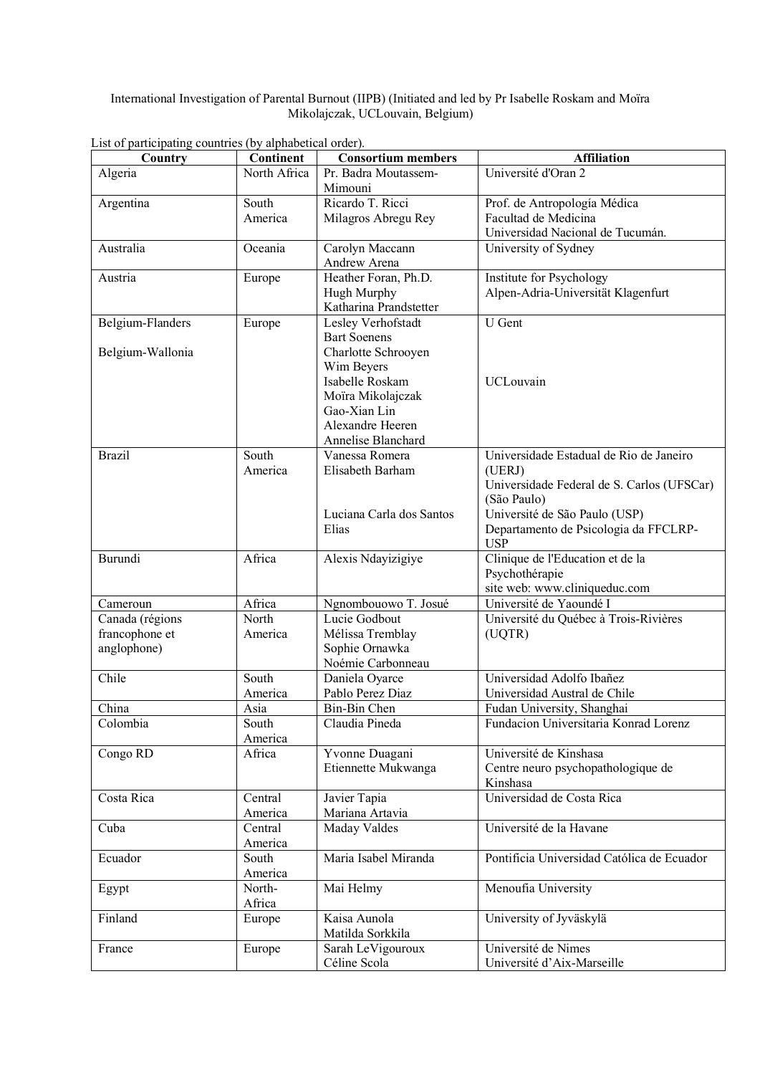International Investigation of Parental Burnout (IIPB) (Initiated and led by Pr Isabelle Roskam and Moïra Mikolajczak, UCLouvain, Belgium)

| Country          | <b>Continent</b>  | <b>Consortium members</b>         | <b>Affiliation</b>                         |
|------------------|-------------------|-----------------------------------|--------------------------------------------|
| Algeria          | North Africa      | Pr. Badra Moutassem-              | Université d'Oran 2                        |
|                  |                   | Mimouni                           |                                            |
| Argentina        | South             | Ricardo T. Ricci                  | Prof. de Antropología Médica               |
|                  | America           | Milagros Abregu Rey               | Facultad de Medicina                       |
|                  |                   |                                   | Universidad Nacional de Tucumán.           |
| Australia        | Oceania           | Carolyn Maccann                   | University of Sydney                       |
|                  |                   | Andrew Arena                      |                                            |
| Austria          | Europe            | Heather Foran, Ph.D.              | <b>Institute for Psychology</b>            |
|                  |                   | Hugh Murphy                       | Alpen-Adria-Universität Klagenfurt         |
|                  |                   | Katharina Prandstetter            |                                            |
| Belgium-Flanders | Europe            | Lesley Verhofstadt                | <b>U</b> Gent                              |
|                  |                   | <b>Bart Soenens</b>               |                                            |
| Belgium-Wallonia |                   | Charlotte Schrooyen<br>Wim Beyers |                                            |
|                  |                   | Isabelle Roskam                   | <b>UCLouvain</b>                           |
|                  |                   | Moïra Mikolajczak                 |                                            |
|                  |                   | Gao-Xian Lin                      |                                            |
|                  |                   | Alexandre Heeren                  |                                            |
|                  |                   | Annelise Blanchard                |                                            |
| <b>Brazil</b>    | South             | Vanessa Romera                    | Universidade Estadual de Rio de Janeiro    |
|                  | America           | Elisabeth Barham                  | (UERJ)                                     |
|                  |                   |                                   | Universidade Federal de S. Carlos (UFSCar) |
|                  |                   |                                   | (São Paulo)                                |
|                  |                   | Luciana Carla dos Santos          | Université de São Paulo (USP)              |
|                  |                   | Elias                             | Departamento de Psicologia da FFCLRP-      |
|                  |                   |                                   | <b>USP</b>                                 |
| Burundi          | Africa            | Alexis Ndayizigiye                | Clinique de l'Education et de la           |
|                  |                   |                                   | Psychothérapie                             |
|                  |                   |                                   | site web: www.cliniqueduc.com              |
| Cameroun         | Africa            | Ngnombouowo T. Josué              | Université de Yaoundé I                    |
| Canada (régions  | North             | Lucie Godbout                     | Université du Québec à Trois-Rivières      |
| francophone et   | America           | Mélissa Tremblay                  | (UQTR)                                     |
| anglophone)      |                   | Sophie Ornawka                    |                                            |
|                  |                   | Noémie Carbonneau                 |                                            |
| Chile            | South             | Daniela Oyarce                    | Universidad Adolfo Ibañez                  |
|                  | America           | Pablo Perez Diaz                  | Universidad Austral de Chile               |
| China            | Asia              | Bin-Bin Chen                      | Fudan University, Shanghai                 |
| Colombia         | South             | Claudia Pineda                    | Fundacion Universitaria Konrad Lorenz      |
| Congo RD         | America<br>Africa | Yvonne Duagani                    | Université de Kinshasa                     |
|                  |                   | Etiennette Mukwanga               | Centre neuro psychopathologique de         |
|                  |                   |                                   | Kinshasa                                   |
| Costa Rica       | Central           | Javier Tapia                      | Universidad de Costa Rica                  |
|                  | America           | Mariana Artavia                   |                                            |
| Cuba             | Central           | <b>Maday Valdes</b>               | Université de la Havane                    |
|                  | America           |                                   |                                            |
| Ecuador          | South             | Maria Isabel Miranda              | Pontificia Universidad Católica de Ecuador |
|                  | America           |                                   |                                            |
| Egypt            | North-            | Mai Helmy                         | Menoufia University                        |
|                  | Africa            |                                   |                                            |
| Finland          | Europe            | Kaisa Aunola                      | University of Jyväskylä                    |
|                  |                   | Matilda Sorkkila                  |                                            |
| France           | Europe            | Sarah LeVigouroux                 | Université de Nimes                        |
|                  |                   | Céline Scola                      | Université d'Aix-Marseille                 |

List of participating countries (by alphabetical order).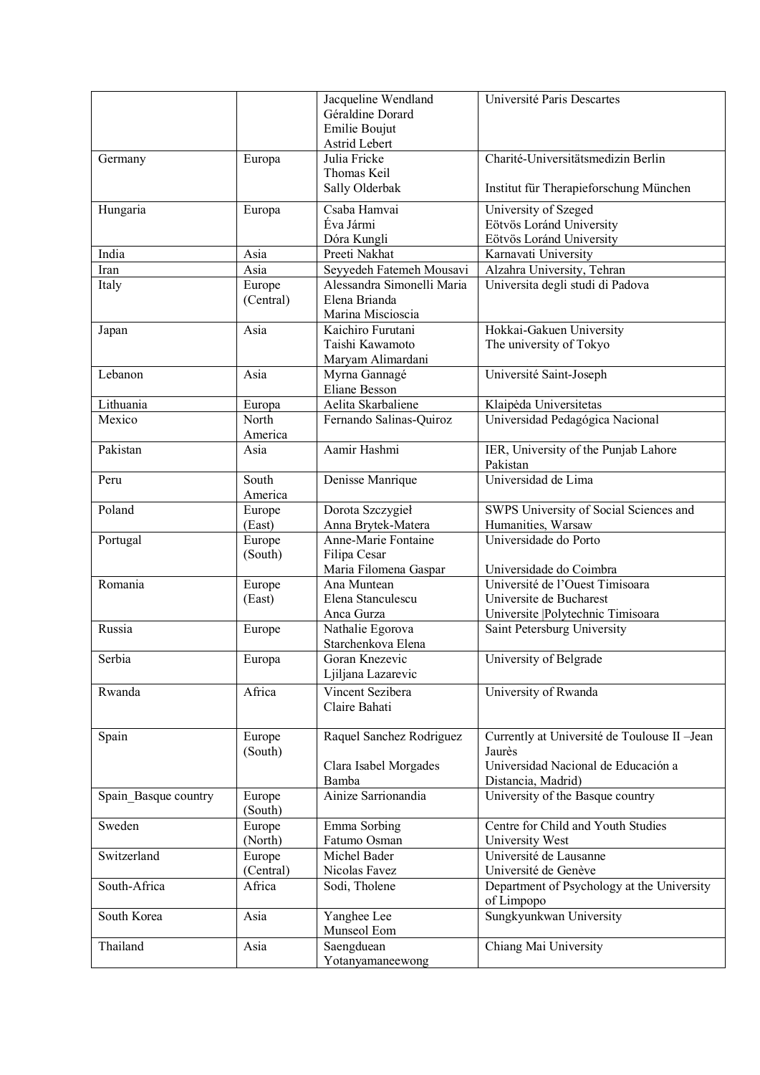|                      |           | Jacqueline Wendland        | Université Paris Descartes                    |
|----------------------|-----------|----------------------------|-----------------------------------------------|
|                      |           | Géraldine Dorard           |                                               |
|                      |           | Emilie Boujut              |                                               |
|                      |           | Astrid Lebert              |                                               |
|                      |           | Julia Fricke               | Charité-Universitätsmedizin Berlin            |
| Germany              | Europa    | Thomas Keil                |                                               |
|                      |           |                            |                                               |
|                      |           | Sally Olderbak             | Institut für Therapieforschung München        |
| Hungaria             | Europa    | Csaba Hamvai               | University of Szeged                          |
|                      |           | Éva Jármi                  | Eötvös Loránd University                      |
|                      |           | Dóra Kungli                | Eötvös Loránd University                      |
| India                | Asia      | Preeti Nakhat              | Karnavati University                          |
| Iran                 | Asia      | Seyyedeh Fatemeh Mousavi   | Alzahra University, Tehran                    |
| Italy                | Europe    | Alessandra Simonelli Maria | Universita degli studi di Padova              |
|                      | (Central) | Elena Brianda              |                                               |
|                      |           | Marina Miscioscia          |                                               |
|                      | Asia      | Kaichiro Furutani          | Hokkai-Gakuen University                      |
| Japan                |           |                            |                                               |
|                      |           | Taishi Kawamoto            | The university of Tokyo                       |
|                      |           | Maryam Alimardani          |                                               |
| Lebanon              | Asia      | Myrna Gannagé              | Université Saint-Joseph                       |
|                      |           | <b>Eliane Besson</b>       |                                               |
| Lithuania            | Europa    | Aelita Skarbaliene         | Klaipėda Universitetas                        |
| Mexico               | North     | Fernando Salinas-Quiroz    | Universidad Pedagógica Nacional               |
|                      | America   |                            |                                               |
| Pakistan             | Asia      | Aamir Hashmi               | IER, University of the Punjab Lahore          |
|                      |           |                            | Pakistan                                      |
| Peru                 | South     | Denisse Manrique           | Universidad de Lima                           |
|                      | America   |                            |                                               |
| Poland               | Europe    | Dorota Szczygieł           | SWPS University of Social Sciences and        |
|                      | (East)    | Anna Brytek-Matera         | Humanities, Warsaw                            |
| Portugal             | Europe    | Anne-Marie Fontaine        | Universidade do Porto                         |
|                      | (South)   | Filipa Cesar               |                                               |
|                      |           | Maria Filomena Gaspar      | Universidade do Coimbra                       |
| Romania              | Europe    | Ana Muntean                | Université de l'Ouest Timisoara               |
|                      | (East)    | Elena Stanculescu          | Universite de Bucharest                       |
|                      |           | Anca Gurza                 | Universite  Polytechnic Timisoara             |
| Russia               | Europe    | Nathalie Egorova           | Saint Petersburg University                   |
|                      |           | Starchenkova Elena         |                                               |
|                      |           |                            |                                               |
| Serbia               | Europa    | Goran Knezevic             | University of Belgrade                        |
|                      |           | Ljiljana Lazarevic         |                                               |
| Rwanda               | Africa    | Vincent Sezibera           | University of Rwanda                          |
|                      |           | Claire Bahati              |                                               |
|                      |           |                            |                                               |
| Spain                | Europe    | Raquel Sanchez Rodriguez   | Currently at Université de Toulouse II - Jean |
|                      | (South)   |                            | Jaurès                                        |
|                      |           | Clara Isabel Morgades      | Universidad Nacional de Educación a           |
|                      |           | Bamba                      | Distancia, Madrid)                            |
| Spain Basque country | Europe    | Ainize Sarrionandia        | University of the Basque country              |
|                      | (South)   |                            |                                               |
| Sweden               | Europe    | Emma Sorbing               | Centre for Child and Youth Studies            |
|                      | (North)   | Fatumo Osman               | University West                               |
| Switzerland          |           | Michel Bader               | Université de Lausanne                        |
|                      | Europe    |                            |                                               |
|                      | (Central) | Nicolas Favez              | Université de Genève                          |
| South-Africa         | Africa    | Sodi, Tholene              | Department of Psychology at the University    |
|                      |           |                            | of Limpopo                                    |
| South Korea          | Asia      | Yanghee Lee                | Sungkyunkwan University                       |
|                      |           | Munseol Eom                |                                               |
| Thailand             | Asia      | Saengduean                 | Chiang Mai University                         |
|                      |           | Yotanyamaneewong           |                                               |